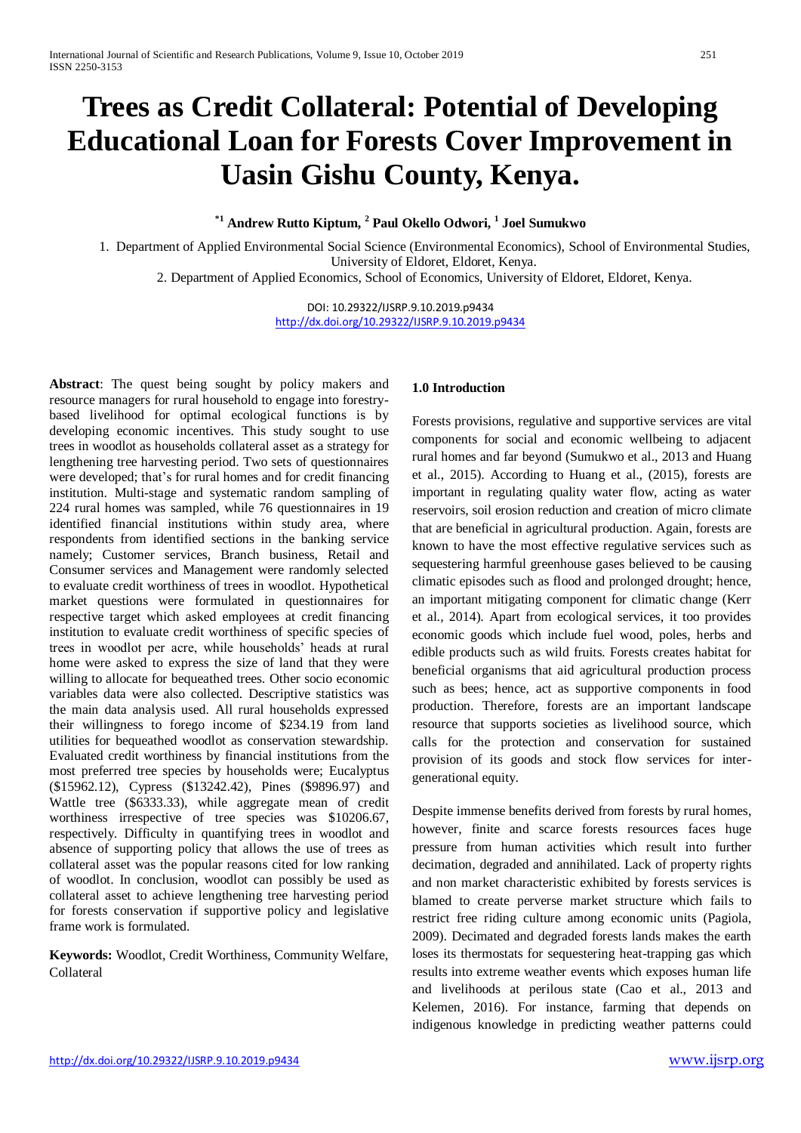# **Trees as Credit Collateral: Potential of Developing Educational Loan for Forests Cover Improvement in Uasin Gishu County, Kenya.**

## **\*1 Andrew Rutto Kiptum, <sup>2</sup> Paul Okello Odwori, <sup>1</sup> Joel Sumukwo**

1. Department of Applied Environmental Social Science (Environmental Economics), School of Environmental Studies, University of Eldoret, Eldoret, Kenya.

2. Department of Applied Economics, School of Economics, University of Eldoret, Eldoret, Kenya.

DOI: 10.29322/IJSRP.9.10.2019.p9434 <http://dx.doi.org/10.29322/IJSRP.9.10.2019.p9434>

**Abstract**: The quest being sought by policy makers and resource managers for rural household to engage into forestrybased livelihood for optimal ecological functions is by developing economic incentives. This study sought to use trees in woodlot as households collateral asset as a strategy for lengthening tree harvesting period. Two sets of questionnaires were developed; that's for rural homes and for credit financing institution. Multi-stage and systematic random sampling of 224 rural homes was sampled, while 76 questionnaires in 19 identified financial institutions within study area, where respondents from identified sections in the banking service namely; Customer services, Branch business, Retail and Consumer services and Management were randomly selected to evaluate credit worthiness of trees in woodlot. Hypothetical market questions were formulated in questionnaires for respective target which asked employees at credit financing institution to evaluate credit worthiness of specific species of trees in woodlot per acre, while households' heads at rural home were asked to express the size of land that they were willing to allocate for bequeathed trees. Other socio economic variables data were also collected. Descriptive statistics was the main data analysis used. All rural households expressed their willingness to forego income of \$234.19 from land utilities for bequeathed woodlot as conservation stewardship. Evaluated credit worthiness by financial institutions from the most preferred tree species by households were; Eucalyptus (\$15962.12), Cypress (\$13242.42), Pines (\$9896.97) and Wattle tree (\$6333.33), while aggregate mean of credit worthiness irrespective of tree species was \$10206.67, respectively. Difficulty in quantifying trees in woodlot and absence of supporting policy that allows the use of trees as collateral asset was the popular reasons cited for low ranking of woodlot. In conclusion, woodlot can possibly be used as collateral asset to achieve lengthening tree harvesting period for forests conservation if supportive policy and legislative frame work is formulated.

**Keywords:** Woodlot, Credit Worthiness, Community Welfare, Collateral

#### **1.0 Introduction**

Forests provisions, regulative and supportive services are vital components for social and economic wellbeing to adjacent rural homes and far beyond (Sumukwo et al., 2013 and Huang et al., 2015). According to Huang et al., (2015), forests are important in regulating quality water flow, acting as water reservoirs, soil erosion reduction and creation of micro climate that are beneficial in agricultural production. Again, forests are known to have the most effective regulative services such as sequestering harmful greenhouse gases believed to be causing climatic episodes such as flood and prolonged drought; hence, an important mitigating component for climatic change (Kerr et al., 2014). Apart from ecological services, it too provides economic goods which include fuel wood, poles, herbs and edible products such as wild fruits. Forests creates habitat for beneficial organisms that aid agricultural production process such as bees; hence, act as supportive components in food production. Therefore, forests are an important landscape resource that supports societies as livelihood source, which calls for the protection and conservation for sustained provision of its goods and stock flow services for intergenerational equity.

Despite immense benefits derived from forests by rural homes, however, finite and scarce forests resources faces huge pressure from human activities which result into further decimation, degraded and annihilated. Lack of property rights and non market characteristic exhibited by forests services is blamed to create perverse market structure which fails to restrict free riding culture among economic units (Pagiola, 2009). Decimated and degraded forests lands makes the earth loses its thermostats for sequestering heat-trapping gas which results into extreme weather events which exposes human life and livelihoods at perilous state (Cao et al., 2013 and Kelemen, 2016). For instance, farming that depends on indigenous knowledge in predicting weather patterns could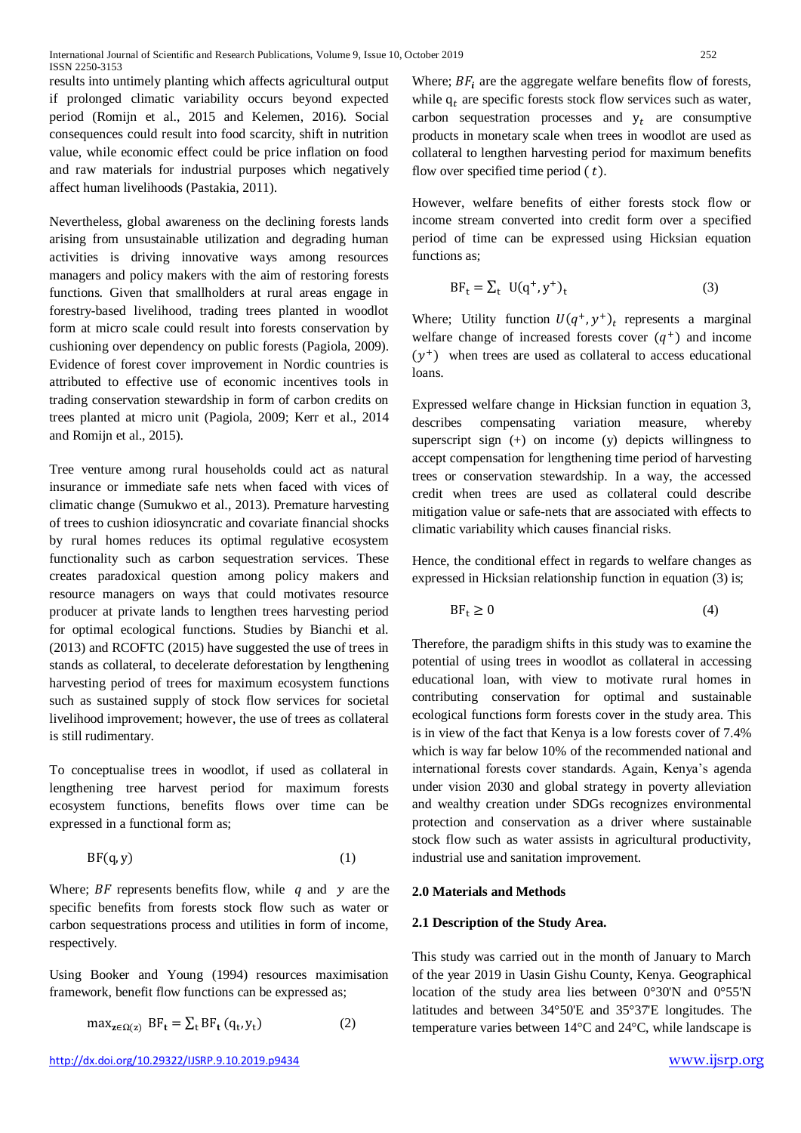results into untimely planting which affects agricultural output if prolonged climatic variability occurs beyond expected period (Romijn et al., 2015 and Kelemen, 2016). Social consequences could result into food scarcity, shift in nutrition value, while economic effect could be price inflation on food and raw materials for industrial purposes which negatively affect human livelihoods (Pastakia, 2011).

Nevertheless, global awareness on the declining forests lands arising from unsustainable utilization and degrading human activities is driving innovative ways among resources managers and policy makers with the aim of restoring forests functions. Given that smallholders at rural areas engage in forestry-based livelihood, trading trees planted in woodlot form at micro scale could result into forests conservation by cushioning over dependency on public forests (Pagiola, 2009). Evidence of forest cover improvement in Nordic countries is attributed to effective use of economic incentives tools in trading conservation stewardship in form of carbon credits on trees planted at micro unit (Pagiola, 2009; Kerr et al., 2014 and Romijn et al., 2015).

Tree venture among rural households could act as natural insurance or immediate safe nets when faced with vices of climatic change (Sumukwo et al., 2013). Premature harvesting of trees to cushion idiosyncratic and covariate financial shocks by rural homes reduces its optimal regulative ecosystem functionality such as carbon sequestration services. These creates paradoxical question among policy makers and resource managers on ways that could motivates resource producer at private lands to lengthen trees harvesting period for optimal ecological functions. Studies by Bianchi et al. (2013) and RCOFTC (2015) have suggested the use of trees in stands as collateral, to decelerate deforestation by lengthening harvesting period of trees for maximum ecosystem functions such as sustained supply of stock flow services for societal livelihood improvement; however, the use of trees as collateral is still rudimentary.

To conceptualise trees in woodlot, if used as collateral in lengthening tree harvest period for maximum forests ecosystem functions, benefits flows over time can be expressed in a functional form as;

$$
BF(q, y) \tag{1}
$$

Where;  $BF$  represents benefits flow, while q and y are the specific benefits from forests stock flow such as water or carbon sequestrations process and utilities in form of income, respectively.

Using Booker and Young (1994) resources maximisation framework, benefit flow functions can be expressed as;

$$
\max_{\mathbf{z} \in \Omega(z)} \, \mathrm{BF}_{\mathbf{t}} = \sum_{t} \mathrm{BF}_{\mathbf{t}} \left( \mathbf{q}_{t}, \mathbf{y}_{t} \right) \tag{2}
$$

Where;  $BF_i$  are the aggregate welfare benefits flow of forests, while  $q_t$  are specific forests stock flow services such as water, carbon sequestration processes and  $y_t$  are consumptive products in monetary scale when trees in woodlot are used as collateral to lengthen harvesting period for maximum benefits flow over specified time period  $(t)$ .

However, welfare benefits of either forests stock flow or income stream converted into credit form over a specified period of time can be expressed using Hicksian equation functions as;

$$
BF_{t} = \sum_{t} U(q^{+}, y^{+})_{t}
$$
 (3)

Where; Utility function  $U(q^+, y^+)_t$  represents a marginal welfare change of increased forests cover  $(q^+)$  and income  $(y<sup>+</sup>)$  when trees are used as collateral to access educational loans.

Expressed welfare change in Hicksian function in equation 3, describes compensating variation measure, whereby superscript sign  $(+)$  on income  $(y)$  depicts willingness to accept compensation for lengthening time period of harvesting trees or conservation stewardship. In a way, the accessed credit when trees are used as collateral could describe mitigation value or safe-nets that are associated with effects to climatic variability which causes financial risks.

Hence, the conditional effect in regards to welfare changes as expressed in Hicksian relationship function in equation (3) is;

$$
BF_t \ge 0 \tag{4}
$$

Therefore, the paradigm shifts in this study was to examine the potential of using trees in woodlot as collateral in accessing educational loan, with view to motivate rural homes in contributing conservation for optimal and sustainable ecological functions form forests cover in the study area. This is in view of the fact that Kenya is a low forests cover of 7.4% which is way far below 10% of the recommended national and international forests cover standards. Again, Kenya's agenda under vision 2030 and global strategy in poverty alleviation and wealthy creation under SDGs recognizes environmental protection and conservation as a driver where sustainable stock flow such as water assists in agricultural productivity, industrial use and sanitation improvement.

### **2.0 Materials and Methods**

#### **2.1 Description of the Study Area.**

This study was carried out in the month of January to March of the year 2019 in Uasin Gishu County, Kenya. Geographical location of the study area lies between 0°30'N and 0°55'N latitudes and between 34°50'E and 35°37'E longitudes. The temperature varies between 14°C and 24°C, while landscape is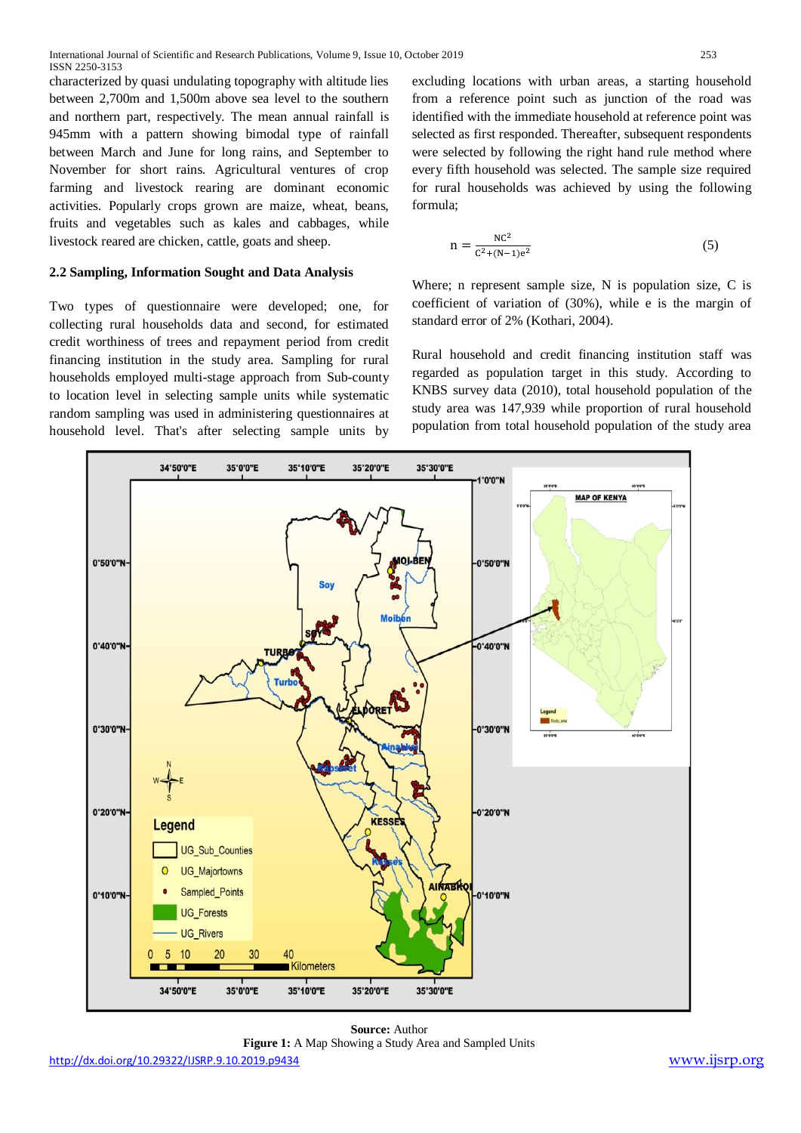characterized by quasi undulating topography with altitude lies between 2,700m and 1,500m above sea level to the southern and northern part, respectively. The mean annual rainfall is 945mm with a pattern showing bimodal type of rainfall between March and June for long rains, and September to November for short rains. Agricultural ventures of crop farming and livestock rearing are dominant economic activities. Popularly crops grown are maize, wheat, beans, fruits and vegetables such as kales and cabbages, while livestock reared are chicken, cattle, goats and sheep.

## **2.2 Sampling, Information Sought and Data Analysis**

Two types of questionnaire were developed; one, for collecting rural households data and second, for estimated credit worthiness of trees and repayment period from credit financing institution in the study area. Sampling for rural households employed multi-stage approach from Sub-county to location level in selecting sample units while systematic random sampling was used in administering questionnaires at household level. That's after selecting sample units by

excluding locations with urban areas, a starting household from a reference point such as junction of the road was identified with the immediate household at reference point was selected as first responded. Thereafter, subsequent respondents were selected by following the right hand rule method where every fifth household was selected. The sample size required for rural households was achieved by using the following formula;

$$
n = \frac{NC^2}{C^2 + (N-1)e^2}
$$
 (5)

Where; n represent sample size, N is population size, C is coefficient of variation of (30%), while e is the margin of standard error of 2% (Kothari, 2004).

Rural household and credit financing institution staff was regarded as population target in this study. According to KNBS survey data (2010), total household population of the study area was 147,939 while proportion of rural household population from total household population of the study area



**Source:** Author **Figure 1:** A Map Showing a Study Area and Sampled Units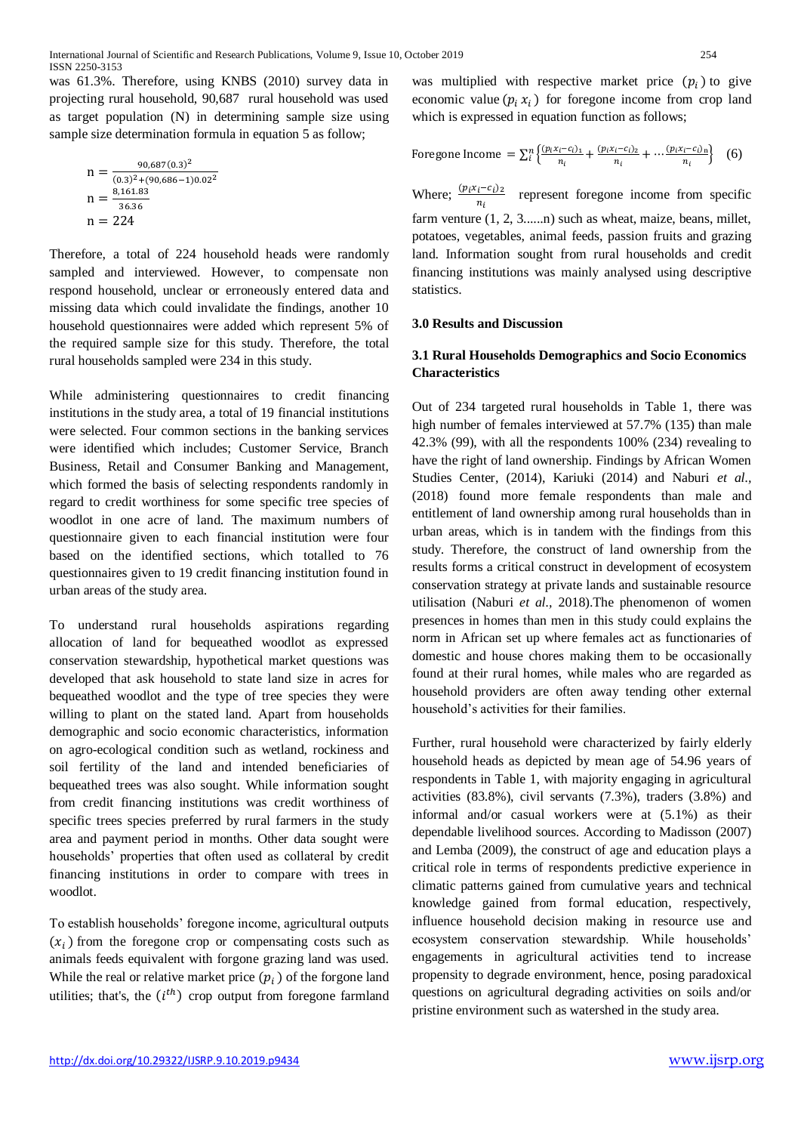was 61.3%. Therefore, using KNBS (2010) survey data in projecting rural household, 90,687 rural household was used as target population (N) in determining sample size using sample size determination formula in equation 5 as follow;

$$
n = \frac{90,687(0.3)^2}{(0.3)^2 + (90,686 - 1)0.02^2}
$$
  
\n
$$
n = \frac{8,161.83}{36.36}
$$
  
\n
$$
n = 224
$$

Therefore, a total of 224 household heads were randomly sampled and interviewed. However, to compensate non respond household, unclear or erroneously entered data and missing data which could invalidate the findings, another 10 household questionnaires were added which represent 5% of the required sample size for this study. Therefore, the total rural households sampled were 234 in this study.

While administering questionnaires to credit financing institutions in the study area, a total of 19 financial institutions were selected. Four common sections in the banking services were identified which includes; Customer Service, Branch Business, Retail and Consumer Banking and Management, which formed the basis of selecting respondents randomly in regard to credit worthiness for some specific tree species of woodlot in one acre of land. The maximum numbers of questionnaire given to each financial institution were four based on the identified sections, which totalled to 76 questionnaires given to 19 credit financing institution found in urban areas of the study area.

To understand rural households aspirations regarding allocation of land for bequeathed woodlot as expressed conservation stewardship, hypothetical market questions was developed that ask household to state land size in acres for bequeathed woodlot and the type of tree species they were willing to plant on the stated land. Apart from households demographic and socio economic characteristics, information on agro-ecological condition such as wetland, rockiness and soil fertility of the land and intended beneficiaries of bequeathed trees was also sought. While information sought from credit financing institutions was credit worthiness of specific trees species preferred by rural farmers in the study area and payment period in months. Other data sought were households' properties that often used as collateral by credit financing institutions in order to compare with trees in woodlot.

To establish households' foregone income, agricultural outputs  $(x_i)$  from the foregone crop or compensating costs such as animals feeds equivalent with forgone grazing land was used. While the real or relative market price  $(p_i)$  of the forgone land utilities; that's, the  $(i<sup>th</sup>)$  crop output from foregone farmland

was multiplied with respective market price  $(p_i)$  to give economic value  $(p_i x_i)$  for foregone income from crop land which is expressed in equation function as follows:

Foregone Income = 
$$
\sum_{i}^{n} \left\{ \frac{(p_i x_i - c_i)_1}{n_i} + \frac{(p_i x_i - c_i)_2}{n_i} + \dots + \frac{(p_i x_i - c_i)_n}{n_i} \right\}
$$
 (6)

Where;  $\frac{(p_i x_i - c_i)}{n}$  $rac{i^{2}c^{1}i^{2}}{n_{i}}$  represent foregone income from specific farm venture  $(1, 2, 3, \ldots)$  such as wheat, maize, beans, millet, potatoes, vegetables, animal feeds, passion fruits and grazing land. Information sought from rural households and credit financing institutions was mainly analysed using descriptive statistics.

#### **3.0 Results and Discussion**

## **3.1 Rural Households Demographics and Socio Economics Characteristics**

Out of 234 targeted rural households in Table 1, there was high number of females interviewed at 57.7% (135) than male 42.3% (99), with all the respondents 100% (234) revealing to have the right of land ownership. Findings by African Women Studies Center, (2014), Kariuki (2014) and Naburi *et al.,* (2018) found more female respondents than male and entitlement of land ownership among rural households than in urban areas, which is in tandem with the findings from this study. Therefore, the construct of land ownership from the results forms a critical construct in development of ecosystem conservation strategy at private lands and sustainable resource utilisation (Naburi *et al.,* 2018).The phenomenon of women presences in homes than men in this study could explains the norm in African set up where females act as functionaries of domestic and house chores making them to be occasionally found at their rural homes, while males who are regarded as household providers are often away tending other external household's activities for their families.

Further, rural household were characterized by fairly elderly household heads as depicted by mean age of 54.96 years of respondents in Table 1, with majority engaging in agricultural activities (83.8%), civil servants (7.3%), traders (3.8%) and informal and/or casual workers were at (5.1%) as their dependable livelihood sources. According to Madisson (2007) and Lemba (2009), the construct of age and education plays a critical role in terms of respondents predictive experience in climatic patterns gained from cumulative years and technical knowledge gained from formal education, respectively, influence household decision making in resource use and ecosystem conservation stewardship. While households' engagements in agricultural activities tend to increase propensity to degrade environment, hence, posing paradoxical questions on agricultural degrading activities on soils and/or pristine environment such as watershed in the study area.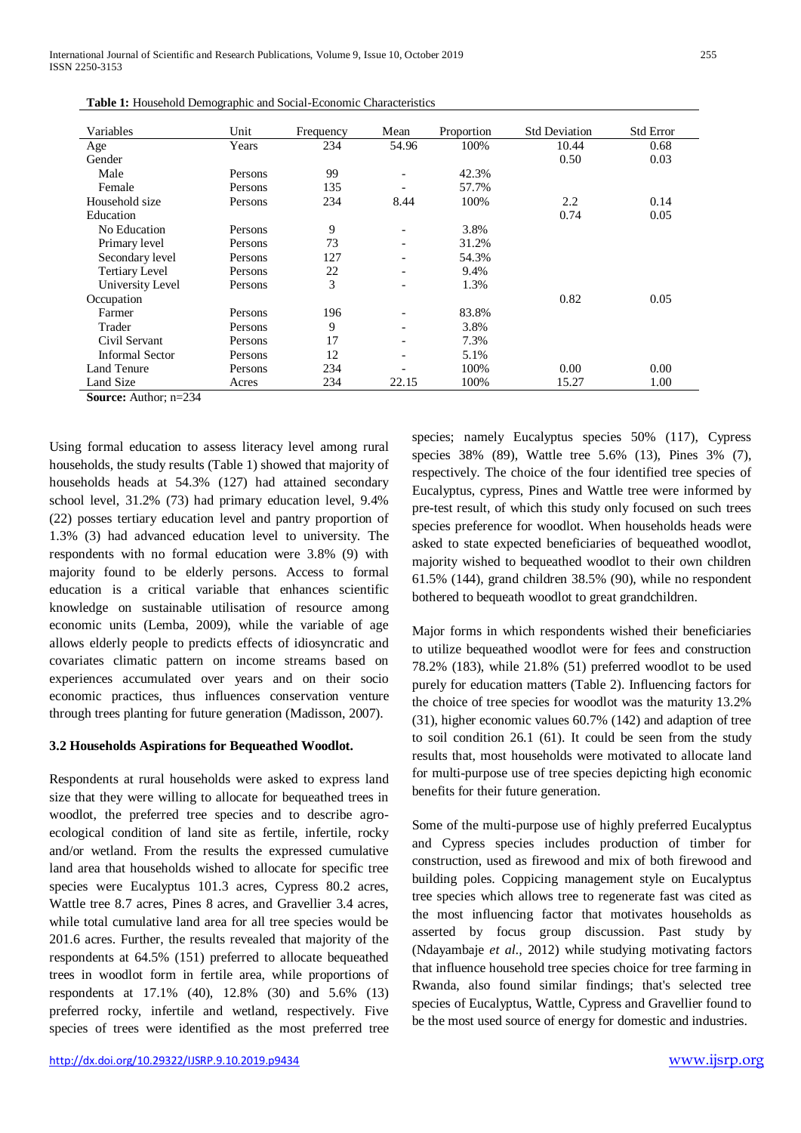| Variables              | Unit    |           | Mean                     | Proportion | <b>Std Deviation</b> | <b>Std Error</b> |
|------------------------|---------|-----------|--------------------------|------------|----------------------|------------------|
|                        |         | Frequency |                          |            |                      |                  |
| Age                    | Years   | 234       | 54.96                    | 100%       | 10.44                | 0.68             |
| Gender                 |         |           |                          |            | 0.50                 | 0.03             |
| Male                   | Persons | 99        |                          | 42.3%      |                      |                  |
| Female                 | Persons | 135       |                          | 57.7%      |                      |                  |
| Household size         | Persons | 234       | 8.44                     | 100%       | 2.2                  | 0.14             |
| Education              |         |           |                          |            | 0.74                 | 0.05             |
| No Education           | Persons | 9         | $\overline{\phantom{a}}$ | 3.8%       |                      |                  |
| Primary level          | Persons | 73        | $\overline{\phantom{a}}$ | 31.2%      |                      |                  |
| Secondary level        | Persons | 127       |                          | 54.3%      |                      |                  |
| <b>Tertiary Level</b>  | Persons | 22        | $\overline{\phantom{a}}$ | 9.4%       |                      |                  |
| University Level       | Persons | 3         |                          | 1.3%       |                      |                  |
| Occupation             |         |           |                          |            | 0.82                 | 0.05             |
| Farmer                 | Persons | 196       |                          | 83.8%      |                      |                  |
| Trader                 | Persons | 9         | $\overline{\phantom{a}}$ | 3.8%       |                      |                  |
| Civil Servant          | Persons | 17        | $\qquad \qquad -$        | 7.3%       |                      |                  |
| <b>Informal Sector</b> | Persons | 12        |                          | 5.1%       |                      |                  |
| Land Tenure            | Persons | 234       |                          | 100%       | 0.00                 | 0.00             |
| Land Size              | Acres   | 234       | 22.15                    | 100%       | 15.27                | 1.00             |

**Source:** Author; n=234

Using formal education to assess literacy level among rural households, the study results (Table 1) showed that majority of households heads at 54.3% (127) had attained secondary school level, 31.2% (73) had primary education level, 9.4% (22) posses tertiary education level and pantry proportion of 1.3% (3) had advanced education level to university. The respondents with no formal education were 3.8% (9) with majority found to be elderly persons. Access to formal education is a critical variable that enhances scientific knowledge on sustainable utilisation of resource among economic units (Lemba, 2009), while the variable of age allows elderly people to predicts effects of idiosyncratic and covariates climatic pattern on income streams based on experiences accumulated over years and on their socio economic practices, thus influences conservation venture through trees planting for future generation (Madisson, 2007).

#### **3.2 Households Aspirations for Bequeathed Woodlot.**

Respondents at rural households were asked to express land size that they were willing to allocate for bequeathed trees in woodlot, the preferred tree species and to describe agroecological condition of land site as fertile, infertile, rocky and/or wetland. From the results the expressed cumulative land area that households wished to allocate for specific tree species were Eucalyptus 101.3 acres, Cypress 80.2 acres, Wattle tree 8.7 acres, Pines 8 acres, and Gravellier 3.4 acres, while total cumulative land area for all tree species would be 201.6 acres. Further, the results revealed that majority of the respondents at 64.5% (151) preferred to allocate bequeathed trees in woodlot form in fertile area, while proportions of respondents at 17.1% (40), 12.8% (30) and 5.6% (13) preferred rocky, infertile and wetland, respectively. Five species of trees were identified as the most preferred tree

species; namely Eucalyptus species 50% (117), Cypress species 38% (89), Wattle tree 5.6% (13), Pines 3% (7), respectively. The choice of the four identified tree species of Eucalyptus, cypress, Pines and Wattle tree were informed by pre-test result, of which this study only focused on such trees species preference for woodlot. When households heads were asked to state expected beneficiaries of bequeathed woodlot, majority wished to bequeathed woodlot to their own children 61.5% (144), grand children 38.5% (90), while no respondent bothered to bequeath woodlot to great grandchildren.

Major forms in which respondents wished their beneficiaries to utilize bequeathed woodlot were for fees and construction 78.2% (183), while 21.8% (51) preferred woodlot to be used purely for education matters (Table 2). Influencing factors for the choice of tree species for woodlot was the maturity 13.2% (31), higher economic values 60.7% (142) and adaption of tree to soil condition 26.1 (61). It could be seen from the study results that, most households were motivated to allocate land for multi-purpose use of tree species depicting high economic benefits for their future generation.

Some of the multi-purpose use of highly preferred Eucalyptus and Cypress species includes production of timber for construction, used as firewood and mix of both firewood and building poles. Coppicing management style on Eucalyptus tree species which allows tree to regenerate fast was cited as the most influencing factor that motivates households as asserted by focus group discussion. Past study by (Ndayambaje *et al.,* 2012) while studying motivating factors that influence household tree species choice for tree farming in Rwanda, also found similar findings; that's selected tree species of Eucalyptus, Wattle, Cypress and Gravellier found to be the most used source of energy for domestic and industries.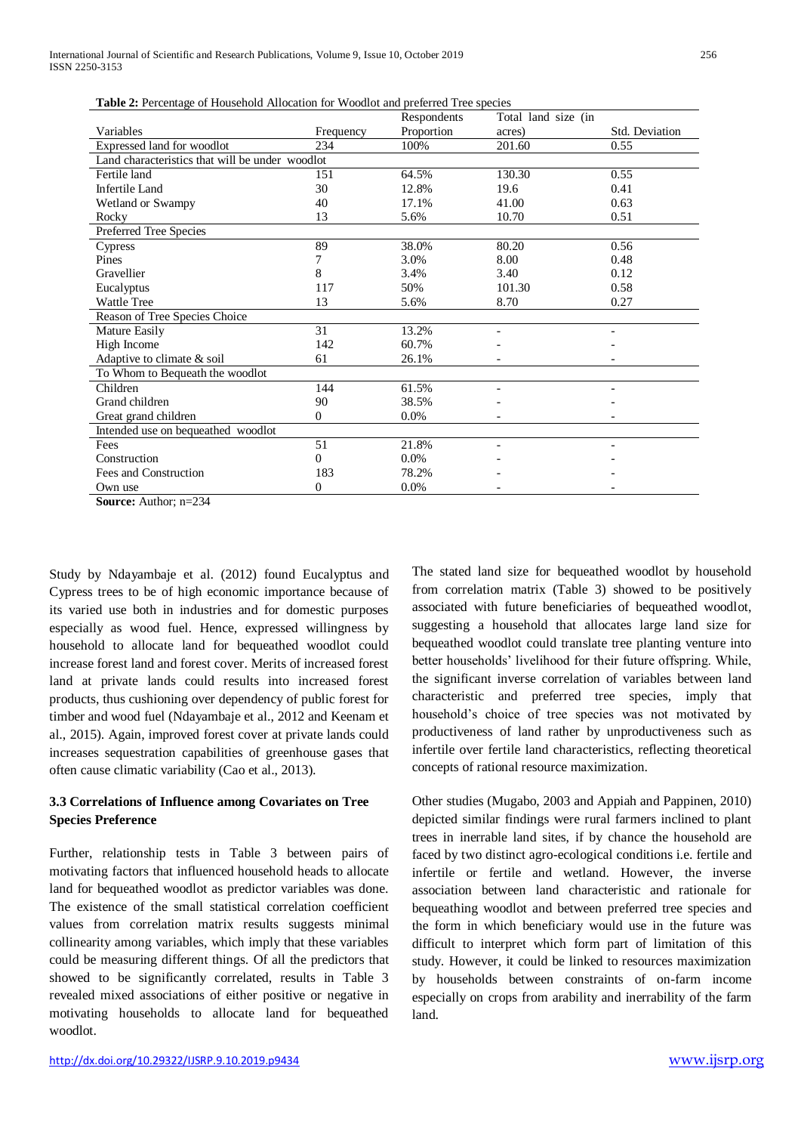| <b>Table 2:</b> Percentage of Household Allocation for woodlot and preferred free species |           | Respondents | Total land size (in      |                |  |  |
|-------------------------------------------------------------------------------------------|-----------|-------------|--------------------------|----------------|--|--|
| Variables                                                                                 | Frequency | Proportion  | acres)                   | Std. Deviation |  |  |
|                                                                                           |           |             |                          |                |  |  |
| Expressed land for woodlot                                                                | 234       | 100%        | 201.60                   | 0.55           |  |  |
| Land characteristics that will be under woodlot                                           |           |             |                          |                |  |  |
| Fertile land                                                                              | 151       | 64.5%       | 130.30                   | 0.55           |  |  |
| Infertile Land                                                                            | 30        | 12.8%       | 19.6                     | 0.41           |  |  |
| Wetland or Swampy                                                                         | 40        | 17.1%       | 41.00                    | 0.63           |  |  |
| Rocky                                                                                     | 13        | 5.6%        | 10.70                    | 0.51           |  |  |
| Preferred Tree Species                                                                    |           |             |                          |                |  |  |
| Cypress                                                                                   | 89        | 38.0%       | 80.20                    | 0.56           |  |  |
| Pines                                                                                     | 7         | 3.0%        | 8.00                     | 0.48           |  |  |
| Gravellier                                                                                | 8         | 3.4%        | 3.40                     | 0.12           |  |  |
| Eucalyptus                                                                                | 117       | 50%         | 101.30                   | 0.58           |  |  |
| <b>Wattle Tree</b>                                                                        | 13        | 5.6%        | 8.70                     | 0.27           |  |  |
| Reason of Tree Species Choice                                                             |           |             |                          |                |  |  |
| Mature Easily                                                                             | 31        | 13.2%       |                          |                |  |  |
| High Income                                                                               | 142       | 60.7%       |                          |                |  |  |
| Adaptive to climate & soil                                                                | 61        | 26.1%       |                          |                |  |  |
| To Whom to Bequeath the woodlot                                                           |           |             |                          |                |  |  |
| Children                                                                                  | 144       | 61.5%       | $\overline{\phantom{a}}$ |                |  |  |
| Grand children                                                                            | 90        | 38.5%       |                          |                |  |  |
| Great grand children                                                                      | 0         | $0.0\%$     |                          |                |  |  |
| Intended use on bequeathed woodlot                                                        |           |             |                          |                |  |  |
| Fees                                                                                      | 51        | 21.8%       |                          |                |  |  |
| Construction                                                                              | 0         | $0.0\%$     |                          |                |  |  |
| Fees and Construction                                                                     | 183       | 78.2%       |                          |                |  |  |
| Own use                                                                                   | 0         | 0.0%        |                          |                |  |  |

**Table 2:** Percentage of Household Allocation for Woodlot and preferred Tree species

**Source:** Author; n=234

Study by Ndayambaje et al. (2012) found Eucalyptus and Cypress trees to be of high economic importance because of its varied use both in industries and for domestic purposes especially as wood fuel. Hence, expressed willingness by household to allocate land for bequeathed woodlot could increase forest land and forest cover. Merits of increased forest land at private lands could results into increased forest products, thus cushioning over dependency of public forest for timber and wood fuel (Ndayambaje et al., 2012 and Keenam et al., 2015). Again, improved forest cover at private lands could increases sequestration capabilities of greenhouse gases that often cause climatic variability (Cao et al., 2013).

## **3.3 Correlations of Influence among Covariates on Tree Species Preference**

Further, relationship tests in Table 3 between pairs of motivating factors that influenced household heads to allocate land for bequeathed woodlot as predictor variables was done. The existence of the small statistical correlation coefficient values from correlation matrix results suggests minimal collinearity among variables, which imply that these variables could be measuring different things. Of all the predictors that showed to be significantly correlated, results in Table 3 revealed mixed associations of either positive or negative in motivating households to allocate land for bequeathed woodlot.

The stated land size for bequeathed woodlot by household from correlation matrix (Table 3) showed to be positively associated with future beneficiaries of bequeathed woodlot, suggesting a household that allocates large land size for bequeathed woodlot could translate tree planting venture into better households' livelihood for their future offspring. While, the significant inverse correlation of variables between land characteristic and preferred tree species, imply that household's choice of tree species was not motivated by productiveness of land rather by unproductiveness such as infertile over fertile land characteristics, reflecting theoretical concepts of rational resource maximization.

Other studies (Mugabo, 2003 and Appiah and Pappinen, 2010) depicted similar findings were rural farmers inclined to plant trees in inerrable land sites, if by chance the household are faced by two distinct agro-ecological conditions i.e. fertile and infertile or fertile and wetland. However, the inverse association between land characteristic and rationale for bequeathing woodlot and between preferred tree species and the form in which beneficiary would use in the future was difficult to interpret which form part of limitation of this study. However, it could be linked to resources maximization by households between constraints of on-farm income especially on crops from arability and inerrability of the farm land.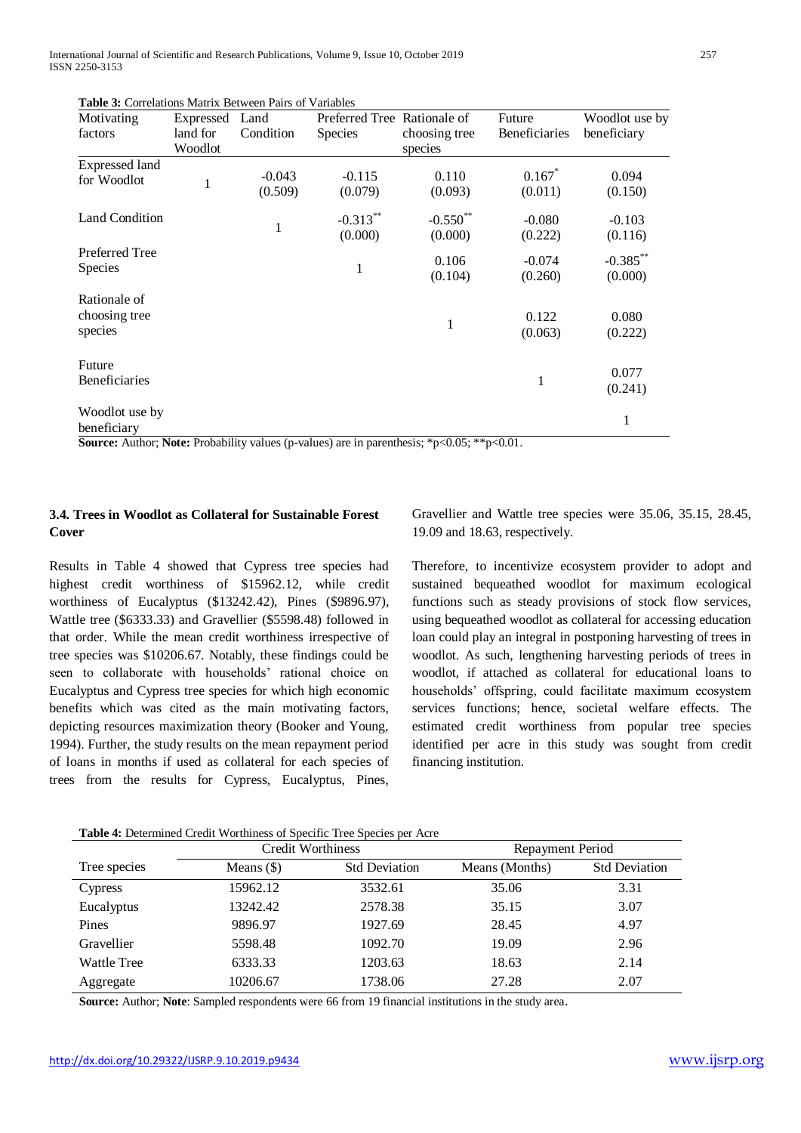International Journal of Scientific and Research Publications, Volume 9, Issue 10, October 2019 257 ISSN 2250-3153

| Motivating                               | Expressed    | Land                | Preferred Tree Rationale of |                        | Future               | Woodlot use by         |
|------------------------------------------|--------------|---------------------|-----------------------------|------------------------|----------------------|------------------------|
| factors                                  | land for     | Condition           | <b>Species</b>              | choosing tree          | <b>Beneficiaries</b> | beneficiary            |
|                                          | Woodlot      |                     |                             | species                |                      |                        |
| <b>Expressed land</b><br>for Woodlot     | $\mathbf{1}$ | $-0.043$<br>(0.509) | $-0.115$<br>(0.079)         | 0.110<br>(0.093)       | 0.167<br>(0.011)     | 0.094<br>(0.150)       |
| <b>Land Condition</b>                    |              | 1                   | $-0.313**$<br>(0.000)       | $-0.550$ **<br>(0.000) | $-0.080$<br>(0.222)  | $-0.103$<br>(0.116)    |
| Preferred Tree<br><b>Species</b>         |              |                     | 1                           | 0.106<br>(0.104)       | $-0.074$<br>(0.260)  | $-0.385***$<br>(0.000) |
| Rationale of<br>choosing tree<br>species |              |                     |                             | 1                      | 0.122<br>(0.063)     | 0.080<br>(0.222)       |
| Future<br><b>Beneficiaries</b>           |              |                     |                             |                        | 1                    | 0.077<br>(0.241)       |
| Woodlot use by<br>beneficiary            |              |                     |                             |                        |                      | 1                      |

**Table 3:** Correlations Matrix Between Pairs of Variables

**Source:** Author; **Note:** Probability values (p-values) are in parenthesis; \*p<0.05; \*\*p<0.01.

## **3.4. Trees in Woodlot as Collateral for Sustainable Forest Cover**

Results in Table 4 showed that Cypress tree species had highest credit worthiness of \$15962.12, while credit worthiness of Eucalyptus (\$13242.42), Pines (\$9896.97), Wattle tree (\$6333.33) and Gravellier (\$5598.48) followed in that order. While the mean credit worthiness irrespective of tree species was \$10206.67. Notably, these findings could be seen to collaborate with households' rational choice on Eucalyptus and Cypress tree species for which high economic benefits which was cited as the main motivating factors, depicting resources maximization theory (Booker and Young, 1994). Further, the study results on the mean repayment period of loans in months if used as collateral for each species of trees from the results for Cypress, Eucalyptus, Pines, Gravellier and Wattle tree species were 35.06, 35.15, 28.45, 19.09 and 18.63, respectively.

Therefore, to incentivize ecosystem provider to adopt and sustained bequeathed woodlot for maximum ecological functions such as steady provisions of stock flow services, using bequeathed woodlot as collateral for accessing education loan could play an integral in postponing harvesting of trees in woodlot. As such, lengthening harvesting periods of trees in woodlot, if attached as collateral for educational loans to households' offspring, could facilitate maximum ecosystem services functions; hence, societal welfare effects. The estimated credit worthiness from popular tree species identified per acre in this study was sought from credit financing institution.

| <b>Table 4:</b> Determined Credit Worthiness of Specific Tree Species per Acre |  |
|--------------------------------------------------------------------------------|--|
|--------------------------------------------------------------------------------|--|

|                    | <b>Credit Worthiness</b> |                      | Repayment Period |                      |  |
|--------------------|--------------------------|----------------------|------------------|----------------------|--|
| Tree species       | Means $(\$)$             | <b>Std Deviation</b> | Means (Months)   | <b>Std Deviation</b> |  |
| Cypress            | 15962.12                 | 3532.61              | 35.06            | 3.31                 |  |
| Eucalyptus         | 13242.42                 | 2578.38              | 35.15            | 3.07                 |  |
| Pines              | 9896.97                  | 1927.69              | 28.45            | 4.97                 |  |
| Gravellier         | 5598.48                  | 1092.70              | 19.09            | 2.96                 |  |
| <b>Wattle Tree</b> | 6333.33                  | 1203.63              | 18.63            | 2.14                 |  |
| Aggregate          | 10206.67                 | 1738.06              | 27.28            | 2.07                 |  |

**Source:** Author; **Note**: Sampled respondents were 66 from 19 financial institutions in the study area.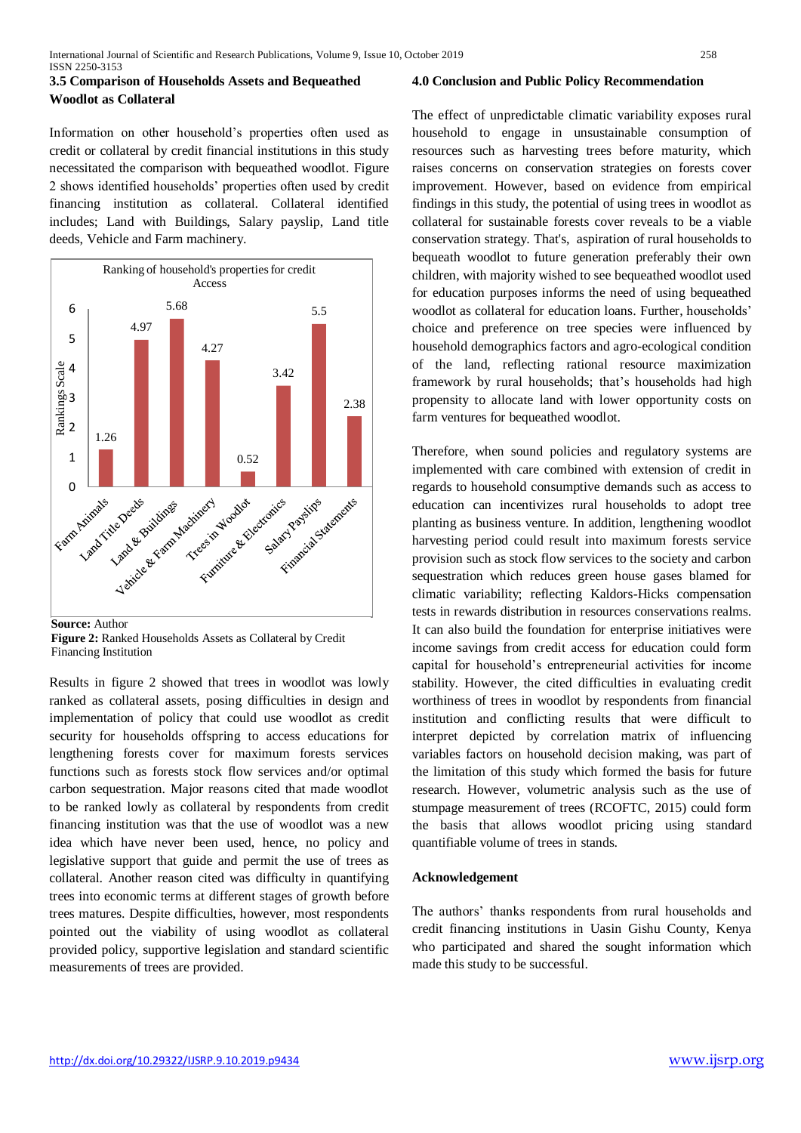## **3.5 Comparison of Households Assets and Bequeathed Woodlot as Collateral**

Information on other household's properties often used as credit or collateral by credit financial institutions in this study necessitated the comparison with bequeathed woodlot. Figure 2 shows identified households' properties often used by credit financing institution as collateral. Collateral identified includes; Land with Buildings, Salary payslip, Land title deeds, Vehicle and Farm machinery.



**Source:** Author

Results in figure 2 showed that trees in woodlot was lowly ranked as collateral assets, posing difficulties in design and implementation of policy that could use woodlot as credit security for households offspring to access educations for lengthening forests cover for maximum forests services functions such as forests stock flow services and/or optimal carbon sequestration. Major reasons cited that made woodlot to be ranked lowly as collateral by respondents from credit financing institution was that the use of woodlot was a new idea which have never been used, hence, no policy and legislative support that guide and permit the use of trees as collateral. Another reason cited was difficulty in quantifying trees into economic terms at different stages of growth before trees matures. Despite difficulties, however, most respondents pointed out the viability of using woodlot as collateral provided policy, supportive legislation and standard scientific measurements of trees are provided.

#### **4.0 Conclusion and Public Policy Recommendation**

The effect of unpredictable climatic variability exposes rural household to engage in unsustainable consumption of resources such as harvesting trees before maturity, which raises concerns on conservation strategies on forests cover improvement. However, based on evidence from empirical findings in this study, the potential of using trees in woodlot as collateral for sustainable forests cover reveals to be a viable conservation strategy. That's, aspiration of rural households to bequeath woodlot to future generation preferably their own children, with majority wished to see bequeathed woodlot used for education purposes informs the need of using bequeathed woodlot as collateral for education loans. Further, households' choice and preference on tree species were influenced by household demographics factors and agro-ecological condition of the land, reflecting rational resource maximization framework by rural households; that's households had high propensity to allocate land with lower opportunity costs on farm ventures for bequeathed woodlot.

Therefore, when sound policies and regulatory systems are implemented with care combined with extension of credit in regards to household consumptive demands such as access to education can incentivizes rural households to adopt tree planting as business venture. In addition, lengthening woodlot harvesting period could result into maximum forests service provision such as stock flow services to the society and carbon sequestration which reduces green house gases blamed for climatic variability; reflecting Kaldors-Hicks compensation tests in rewards distribution in resources conservations realms. It can also build the foundation for enterprise initiatives were income savings from credit access for education could form capital for household's entrepreneurial activities for income stability. However, the cited difficulties in evaluating credit worthiness of trees in woodlot by respondents from financial institution and conflicting results that were difficult to interpret depicted by correlation matrix of influencing variables factors on household decision making, was part of the limitation of this study which formed the basis for future research. However, volumetric analysis such as the use of stumpage measurement of trees (RCOFTC, 2015) could form the basis that allows woodlot pricing using standard quantifiable volume of trees in stands.

#### **Acknowledgement**

The authors' thanks respondents from rural households and credit financing institutions in Uasin Gishu County, Kenya who participated and shared the sought information which made this study to be successful.

**Figure 2:** Ranked Households Assets as Collateral by Credit Financing Institution